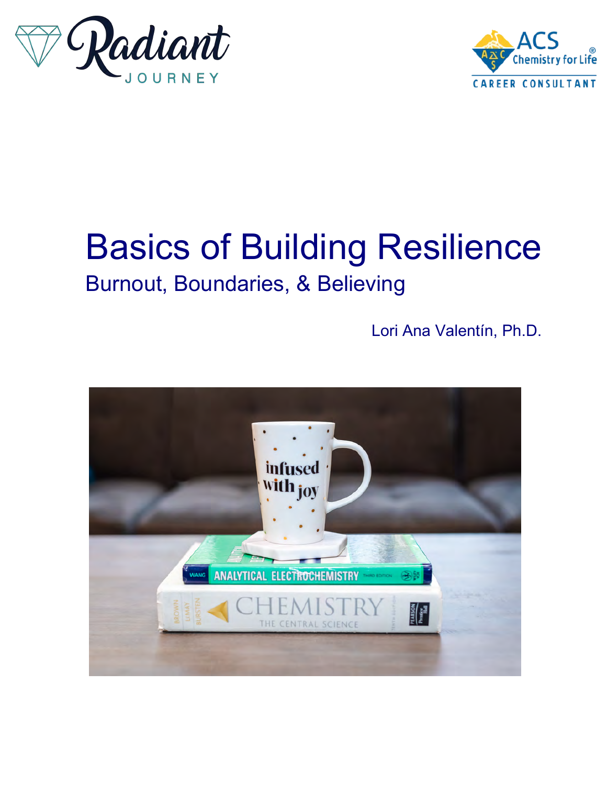



# Basics of Building Resilience Burnout, Boundaries, & Believing

Lori Ana Valentín, Ph.D.

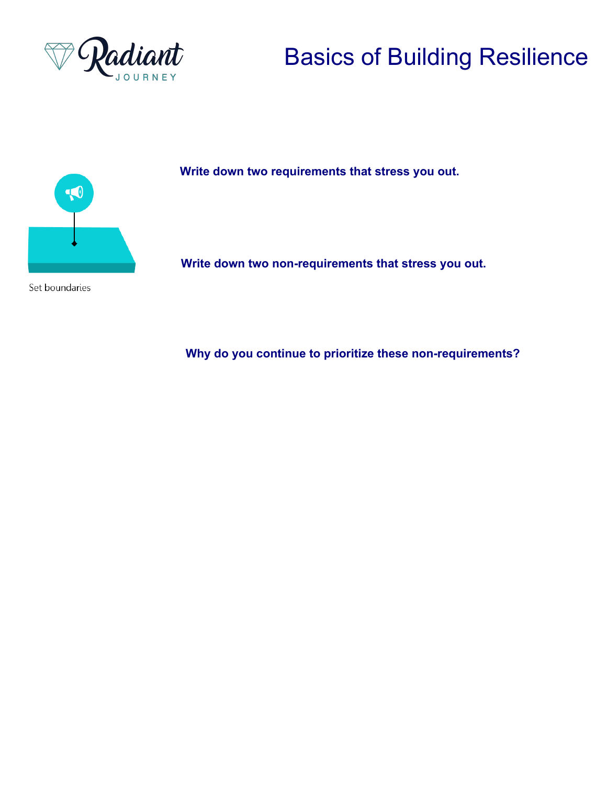



Set boundaries

**Write down two requirements that stress you out.**

**Write down two non-requirements that stress you out.**

**Why do you continue to prioritize these non-requirements?**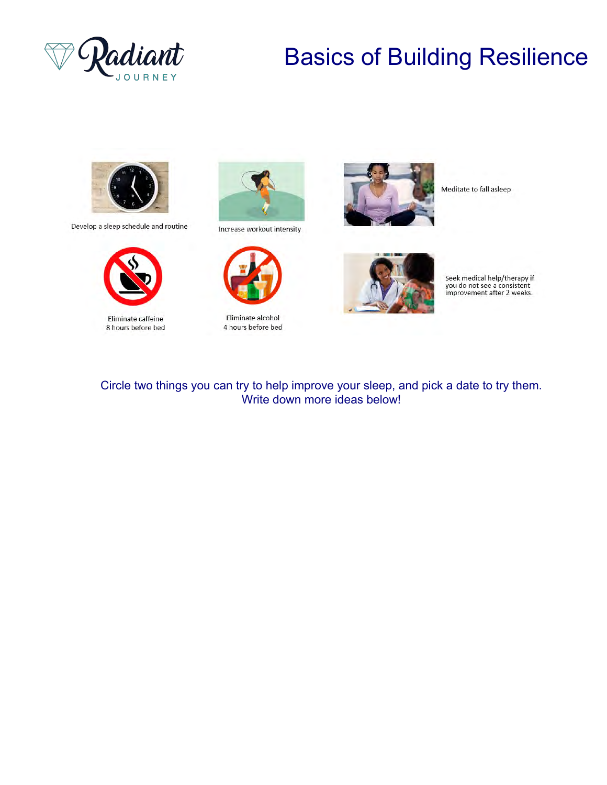



Develop a sleep schedule and routine



Eliminate caffeine 8 hours before bed



Increase workout intensity



Eliminate alcohol 4 hours before bed



Meditate to fall asleep



Seek medical help/therapy if you do not see a consistent<br>improvement after 2 weeks.

#### Circle two things you can try to help improve your sleep, and pick a date to try them. Write down more ideas below!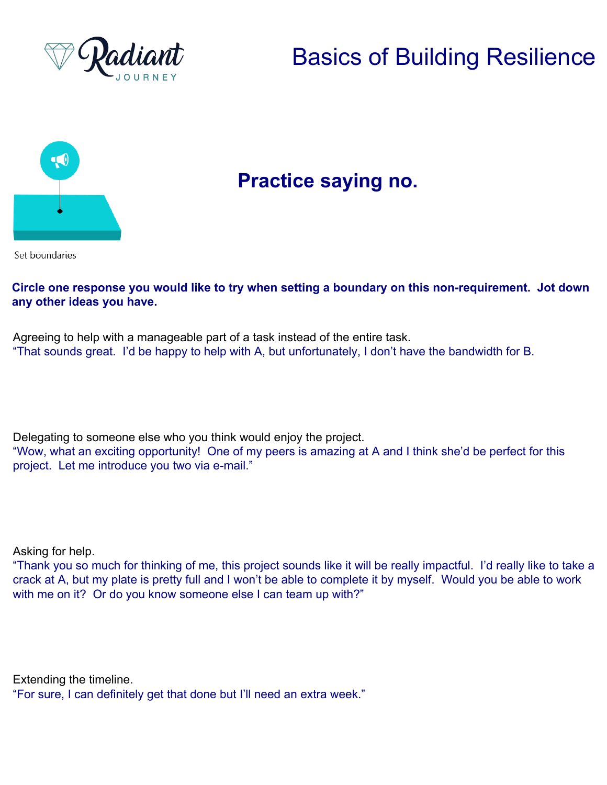



#### **Practice saying no.**

Set boundaries

#### **Circle one response you would like to try when setting a boundary on this non-requirement. Jot down any other ideas you have.**

Agreeing to help with a manageable part of a task instead of the entire task. "That sounds great. I'd be happy to help with A, but unfortunately, I don't have the bandwidth for B.

Delegating to someone else who you think would enjoy the project.

"Wow, what an exciting opportunity! One of my peers is amazing at A and I think she'd be perfect for this project. Let me introduce you two via e-mail."

Asking for help.

"Thank you so much for thinking of me, this project sounds like it will be really impactful. I'd really like to take a crack at A, but my plate is pretty full and I won't be able to complete it by myself. Would you be able to work with me on it? Or do you know someone else I can team up with?"

Extending the timeline.

"For sure, I can definitely get that done but I'll need an extra week."